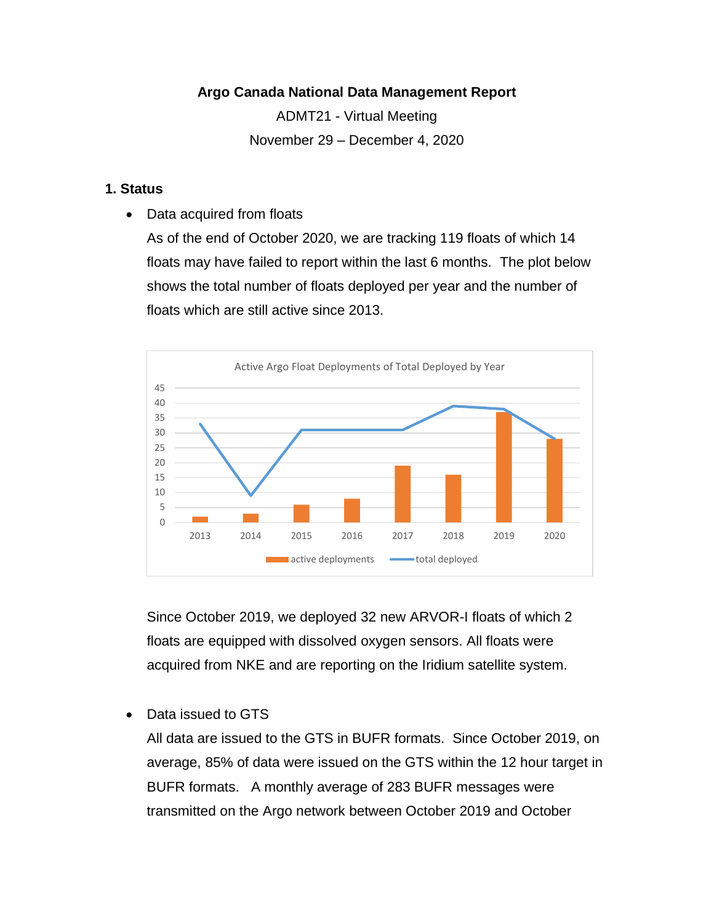### **Argo Canada National Data Management Report**

ADMT21 - Virtual Meeting November 29 – December 4, 2020

### **1. Status**

• Data acquired from floats

As of the end of October 2020, we are tracking 119 floats of which 14 floats may have failed to report within the last 6 months. The plot below shows the total number of floats deployed per year and the number of floats which are still active since 2013.



Since October 2019, we deployed 32 new ARVOR-I floats of which 2 floats are equipped with dissolved oxygen sensors. All floats were acquired from NKE and are reporting on the Iridium satellite system.

• Data issued to GTS

All data are issued to the GTS in BUFR formats. Since October 2019, on average, 85% of data were issued on the GTS within the 12 hour target in BUFR formats. A monthly average of 283 BUFR messages were transmitted on the Argo network between October 2019 and October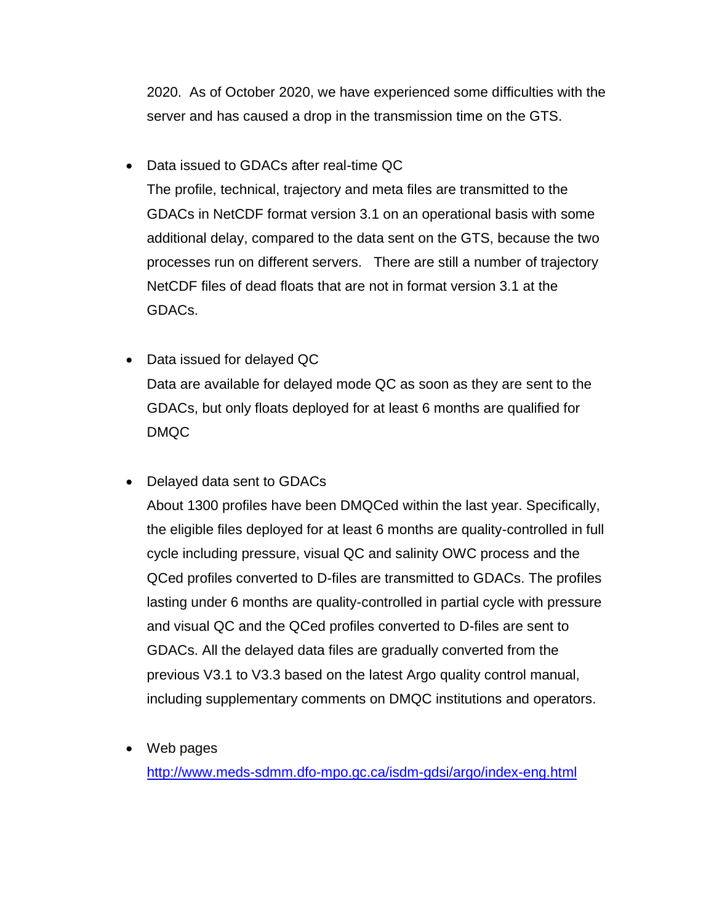2020. As of October 2020, we have experienced some difficulties with the server and has caused a drop in the transmission time on the GTS.

- Data issued to GDACs after real-time QC The profile, technical, trajectory and meta files are transmitted to the GDACs in NetCDF format version 3.1 on an operational basis with some additional delay, compared to the data sent on the GTS, because the two processes run on different servers. There are still a number of trajectory NetCDF files of dead floats that are not in format version 3.1 at the GDACs.
- Data issued for delayed QC Data are available for delayed mode QC as soon as they are sent to the GDACs, but only floats deployed for at least 6 months are qualified for DMQC
- Delayed data sent to GDACs

About 1300 profiles have been DMQCed within the last year. Specifically, the eligible files deployed for at least 6 months are quality-controlled in full cycle including pressure, visual QC and salinity OWC process and the QCed profiles converted to D-files are transmitted to GDACs. The profiles lasting under 6 months are quality-controlled in partial cycle with pressure and visual QC and the QCed profiles converted to D-files are sent to GDACs. All the delayed data files are gradually converted from the previous V3.1 to V3.3 based on the latest Argo quality control manual, including supplementary comments on DMQC institutions and operators.

• Web pages

<http://www.meds-sdmm.dfo-mpo.gc.ca/isdm-gdsi/argo/index-eng.html>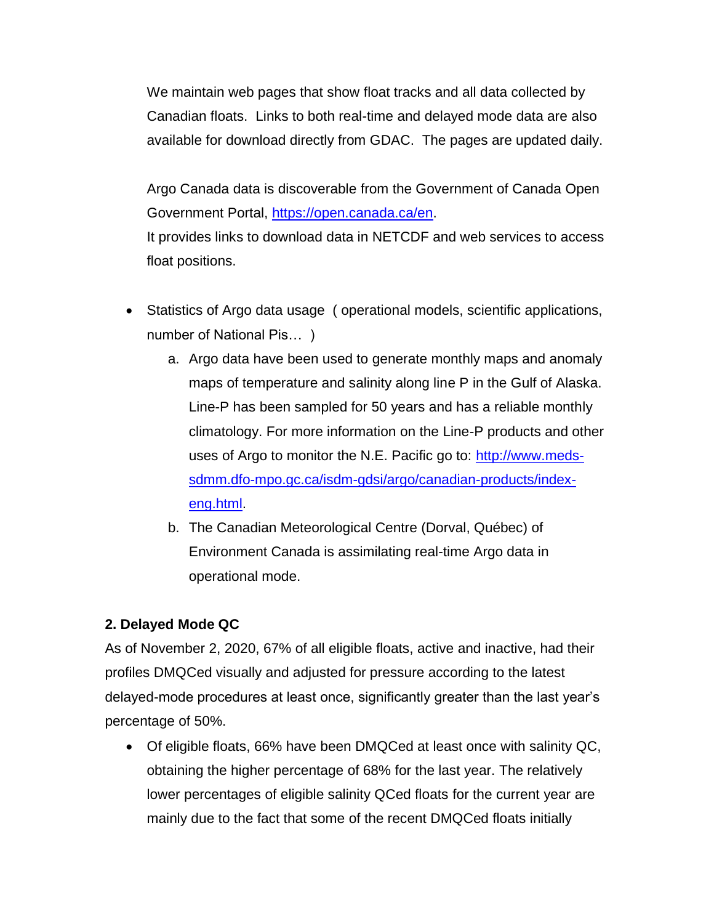We maintain web pages that show float tracks and all data collected by Canadian floats. Links to both real-time and delayed mode data are also available for download directly from GDAC. The pages are updated daily.

Argo Canada data is discoverable from the Government of Canada Open Government Portal, [https://open.canada.ca/en.](https://open.canada.ca/en) It provides links to download data in NETCDF and web services to access float positions.

- Statistics of Argo data usage ( operational models, scientific applications, number of National Pis… )
	- a. Argo data have been used to generate monthly maps and anomaly maps of temperature and salinity along line P in the Gulf of Alaska. Line-P has been sampled for 50 years and has a reliable monthly climatology. For more information on the Line-P products and other uses of Argo to monitor the N.E. Pacific go to: [http://www.meds](http://www.meds-sdmm.dfo-mpo.gc.ca/isdm-gdsi/argo/canadian-products/index-eng.html)[sdmm.dfo-mpo.gc.ca/isdm-gdsi/argo/canadian-products/index](http://www.meds-sdmm.dfo-mpo.gc.ca/isdm-gdsi/argo/canadian-products/index-eng.html)[eng.html.](http://www.meds-sdmm.dfo-mpo.gc.ca/isdm-gdsi/argo/canadian-products/index-eng.html)
	- b. The Canadian Meteorological Centre (Dorval, Québec) of Environment Canada is assimilating real-time Argo data in operational mode.

# **2. Delayed Mode QC**

As of November 2, 2020, 67% of all eligible floats, active and inactive, had their profiles DMQCed visually and adjusted for pressure according to the latest delayed-mode procedures at least once, significantly greater than the last year's percentage of 50%.

 Of eligible floats, 66% have been DMQCed at least once with salinity QC, obtaining the higher percentage of 68% for the last year. The relatively lower percentages of eligible salinity QCed floats for the current year are mainly due to the fact that some of the recent DMQCed floats initially